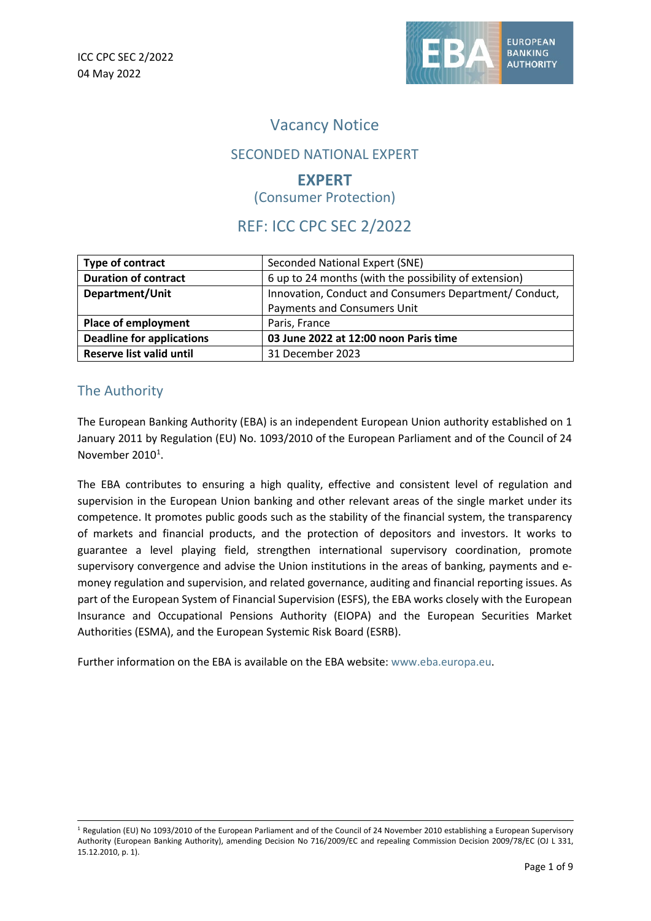

# Vacancy Notice

# SECONDED NATIONAL EXPERT

### **EXPERT** (Consumer Protection)

# REF: ICC CPC SEC 2/2022

| Type of contract                 | Seconded National Expert (SNE)                         |
|----------------------------------|--------------------------------------------------------|
| <b>Duration of contract</b>      | 6 up to 24 months (with the possibility of extension)  |
| Department/Unit                  | Innovation, Conduct and Consumers Department/ Conduct, |
|                                  | Payments and Consumers Unit                            |
| <b>Place of employment</b>       | Paris, France                                          |
| <b>Deadline for applications</b> | 03 June 2022 at 12:00 noon Paris time                  |
| Reserve list valid until         | 31 December 2023                                       |

# The Authority

The European Banking Authority (EBA) is an independent European Union authority established on 1 January 2011 by Regulation (EU) No. 1093/2010 of the European Parliament and of the Council of 24 November 20[1](#page-0-0)0<sup>1</sup>.

The EBA contributes to ensuring a high quality, effective and consistent level of regulation and supervision in the European Union banking and other relevant areas of the single market under its competence. It promotes public goods such as the stability of the financial system, the transparency of markets and financial products, and the protection of depositors and investors. It works to guarantee a level playing field, strengthen international supervisory coordination, promote supervisory convergence and advise the Union institutions in the areas of banking, payments and emoney regulation and supervision, and related governance, auditing and financial reporting issues. As part of the European System of Financial Supervision (ESFS), the EBA works closely with the European Insurance and Occupational Pensions Authority (EIOPA) and the European Securities Market Authorities (ESMA), and the European Systemic Risk Board (ESRB).

Further information on the EBA is available on the EBA website: [www.eba.europa.eu.](http://www.eba.europa.eu/)

<span id="page-0-0"></span><sup>&</sup>lt;sup>1</sup> Regulation (EU) No 1093/2010 of the European Parliament and of the Council of 24 November 2010 establishing a European Supervisory Authority (European Banking Authority), amending Decision No 716/2009/EC and repealing Commission Decision 2009/78/EC (OJ L 331, 15.12.2010, p. 1).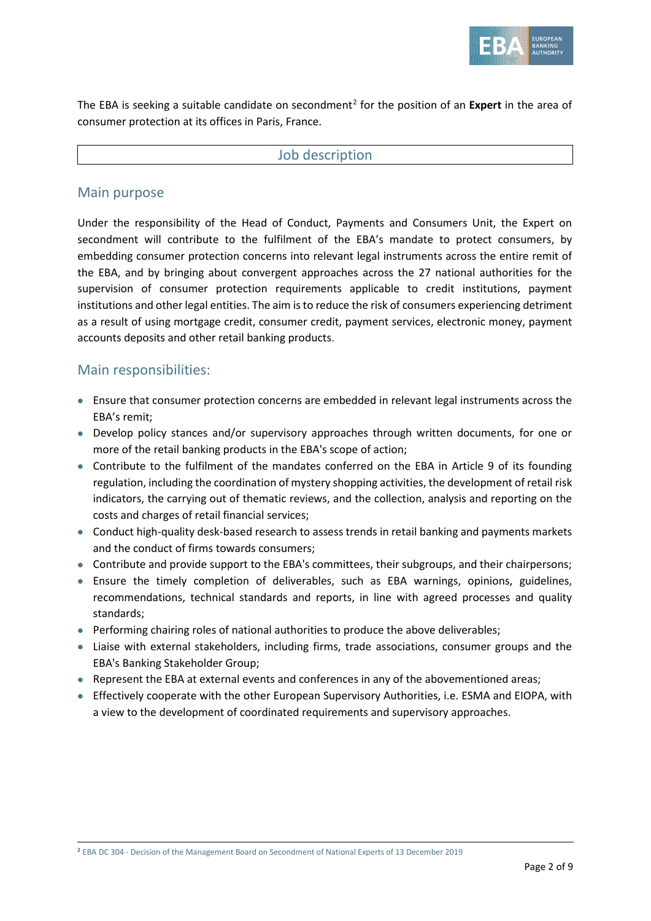

The EBA is seeking a suitable candidate on secondment<sup>[2](#page-1-0)</sup> for the position of an **Expert** in the area of consumer protection at its offices in Paris, France.

#### Job description

#### Main purpose

Under the responsibility of the Head of Conduct, Payments and Consumers Unit, the Expert on secondment will contribute to the fulfilment of the EBA's mandate to protect consumers, by embedding consumer protection concerns into relevant legal instruments across the entire remit of the EBA, and by bringing about convergent approaches across the 27 national authorities for the supervision of consumer protection requirements applicable to credit institutions, payment institutions and other legal entities. The aim is to reduce the risk of consumers experiencing detriment as a result of using mortgage credit, consumer credit, payment services, electronic money, payment accounts deposits and other retail banking products.

### Main responsibilities:

- Ensure that consumer protection concerns are embedded in relevant legal instruments across the EBA's remit;
- Develop policy stances and/or supervisory approaches through written documents, for one or more of the retail banking products in the EBA's scope of action;
- Contribute to the fulfilment of the mandates conferred on the EBA in Article 9 of its founding regulation, including the coordination of mystery shopping activities, the development of retail risk indicators, the carrying out of thematic reviews, and the collection, analysis and reporting on the costs and charges of retail financial services;
- Conduct high-quality desk-based research to assess trends in retail banking and payments markets and the conduct of firms towards consumers;
- Contribute and provide support to the EBA's committees, their subgroups, and their chairpersons;
- Ensure the timely completion of deliverables, such as EBA warnings, opinions, guidelines, recommendations, technical standards and reports, in line with agreed processes and quality standards;
- Performing chairing roles of national authorities to produce the above deliverables;
- Liaise with external stakeholders, including firms, trade associations, consumer groups and the EBA's Banking Stakeholder Group;
- Represent the EBA at external events and conferences in any of the abovementioned areas;
- Effectively cooperate with the other European Supervisory Authorities, i.e. ESMA and EIOPA, with a view to the development of coordinated requirements and supervisory approaches.

<span id="page-1-0"></span><sup>2</sup> EBA DC 304 - [Decision of the Management Board on Secondment of National Experts of 13 December 2019](https://www.eba.europa.eu/sites/default/documents/files/document_library/EBA%20DC%20304%20Decision%20on%20secondment%20of%20national%20experts_signed.pdf)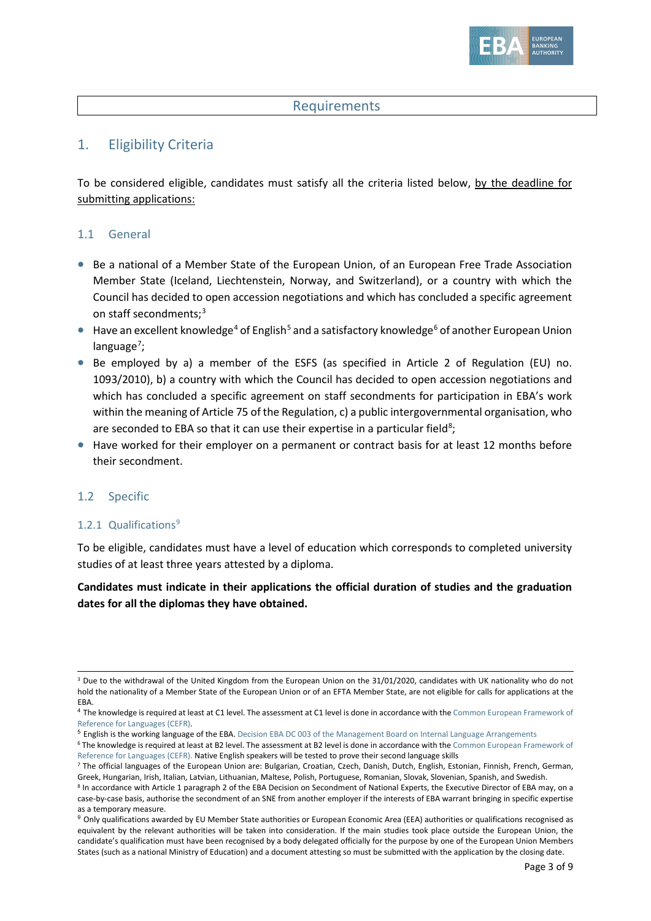

### **Requirements**

### 1. Eligibility Criteria

To be considered eligible, candidates must satisfy all the criteria listed below, by the deadline for submitting applications:

#### 1.1 General

- Be a national of a Member State of the European Union, of an European Free Trade Association Member State [\(Iceland,](https://en.wikipedia.org/wiki/Iceland) [Liechtenstein,](https://en.wikipedia.org/wiki/Liechtenstein) [Norway,](https://en.wikipedia.org/wiki/Norway) and [Switzerland\)](https://en.wikipedia.org/wiki/Switzerland), or a country with which the Council has decided to open accession negotiations and which has concluded a specific agreement on staff secondments;<sup>[3](#page-2-0)</sup>
- $\bullet$  Have an excellent knowledge<sup>[4](#page-2-1)</sup> of English<sup>[5](#page-2-2)</sup> and a satisfactory knowledge<sup>[6](#page-2-3)</sup> of another European Union language<sup>[7](#page-2-4)</sup>;
- Be employed by a) a member of the ESFS (as specified in Article 2 of Regulation (EU) no. 1093/2010), b) a country with which the Council has decided to open accession negotiations and which has concluded a specific agreement on staff secondments for participation in EBA's work within the meaning of Article 75 of the Regulation, c) a public intergovernmental organisation, who are seconded to EBA so that it can use their expertise in a particular field<sup>[8](#page-2-5)</sup>;
- Have worked for their employer on a permanent or contract basis for at least 12 months before their secondment.

#### 1.2 Specific

#### 1.2.1 Qualifications<sup>[9](#page-2-6)</sup>

To be eligible, candidates must have a level of education which corresponds to completed university studies of at least three years attested by a diploma.

**Candidates must indicate in their applications the official duration of studies and the graduation dates for all the diplomas they have obtained.**

<span id="page-2-0"></span><sup>&</sup>lt;sup>3</sup> Due to the withdrawal of the United Kingdom from the European Union on the 31/01/2020, candidates with UK nationality who do not hold the nationality of a Member State of the European Union or of an EFTA Member State, are not eligible for calls for applications at the EBA.

<span id="page-2-1"></span><sup>&</sup>lt;sup>4</sup> The knowledge is required at least at C1 level. The assessment at C1 level is done in accordance with the Common European Framework of [Reference for Languages \(CEFR\).](https://europa.eu/europass/en/common-european-framework-reference)

<span id="page-2-2"></span><sup>5</sup> English is the working language of the EBA. Decision EBA DC 003 of the Management [Board on Internal Language Arrangements](https://www.eba.europa.eu/sites/default/documents/files/documents/10180/16082/a4e572a4-f91c-46ce-8814-c2f2c3396922/EBA-DC-003--_Language-Arrangements_---FINAL.pdf)

<span id="page-2-3"></span><sup>&</sup>lt;sup>6</sup> The knowledge is required at least at B2 level. The assessment at B2 level is done in accordance with the Common European Framework of [Reference for Languages \(CEFR\).](https://europa.eu/europass/en/common-european-framework-reference) Native English speakers will be tested to prove their second language skills

<span id="page-2-4"></span><sup>&</sup>lt;sup>7</sup> The official languages of the European Union are: Bulgarian, Croatian, Czech, Danish, Dutch, English, Estonian, Finnish, French, German, Greek, Hungarian, Irish, Italian, Latvian, Lithuanian, Maltese, Polish, Portuguese, Romanian, Slovak, Slovenian, Spanish, and Swedish.

<span id="page-2-5"></span><sup>8</sup> In accordance with Article 1 paragraph 2 of the EBA Decision on Secondment of National Experts, the Executive Director of EBA may, on a case-by-case basis, authorise the secondment of an SNE from another employer if the interests of EBA warrant bringing in specific expertise as a temporary measure.

<span id="page-2-6"></span><sup>&</sup>lt;sup>9</sup> Only qualifications awarded by EU Member State authorities or European Economic Area (EEA) authorities or qualifications recognised as equivalent by the relevant authorities will be taken into consideration. If the main studies took place outside the European Union, the candidate's qualification must have been recognised by a body delegated officially for the purpose by one of the European Union Members States (such as a national Ministry of Education) and a document attesting so must be submitted with the application by the closing date.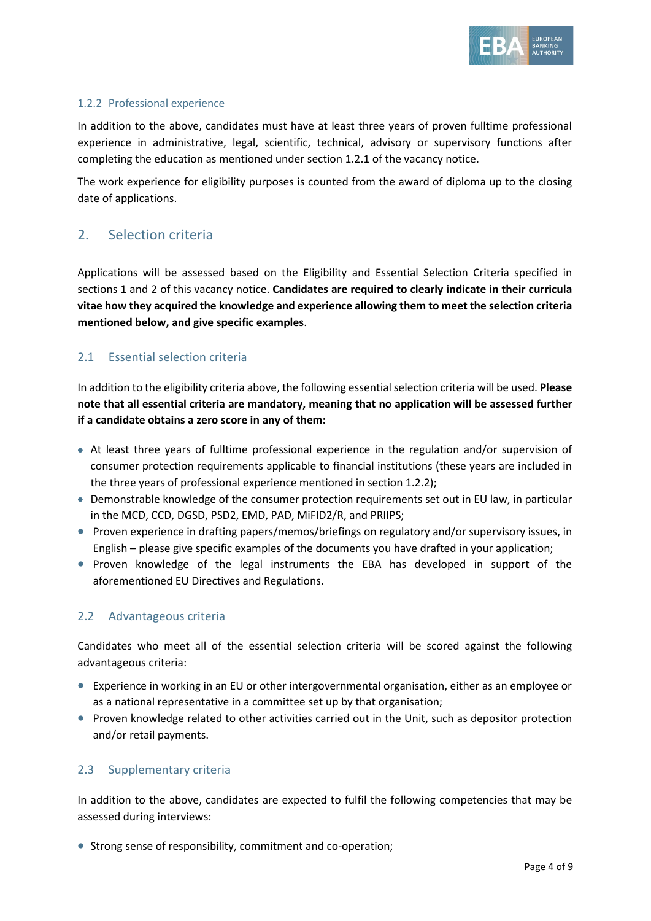

#### 1.2.2 Professional experience

In addition to the above, candidates must have at least three years of proven fulltime professional experience in administrative, legal, scientific, technical, advisory or supervisory functions after completing the education as mentioned under section 1.2.1 of the vacancy notice.

The work experience for eligibility purposes is counted from the award of diploma up to the closing date of applications.

# 2. Selection criteria

Applications will be assessed based on the Eligibility and Essential Selection Criteria specified in sections 1 and 2 of this vacancy notice. **Candidates are required to clearly indicate in their curricula vitae how they acquired the knowledge and experience allowing them to meet the selection criteria mentioned below, and give specific examples**.

### 2.1 Essential selection criteria

In addition to the eligibility criteria above, the following essential selection criteria will be used. **Please note that all essential criteria are mandatory, meaning that no application will be assessed further if a candidate obtains a zero score in any of them:** 

- At least three years of fulltime professional experience in the regulation and/or supervision of consumer protection requirements applicable to financial institutions (these years are included in the three years of professional experience mentioned in section 1.2.2);
- Demonstrable knowledge of the consumer protection requirements set out in EU law, in particular in the MCD, CCD, DGSD, PSD2, EMD, PAD, MiFID2/R, and PRIIPS;
- Proven experience in drafting papers/memos/briefings on regulatory and/or supervisory issues, in English – please give specific examples of the documents you have drafted in your application;
- Proven knowledge of the legal instruments the EBA has developed in support of the aforementioned EU Directives and Regulations.

#### 2.2 Advantageous criteria

Candidates who meet all of the essential selection criteria will be scored against the following advantageous criteria:

- Experience in working in an EU or other intergovernmental organisation, either as an employee or as a national representative in a committee set up by that organisation;
- Proven knowledge related to other activities carried out in the Unit, such as depositor protection and/or retail payments.

#### 2.3 Supplementary criteria

In addition to the above, candidates are expected to fulfil the following competencies that may be assessed during interviews:

• Strong sense of responsibility, commitment and co-operation;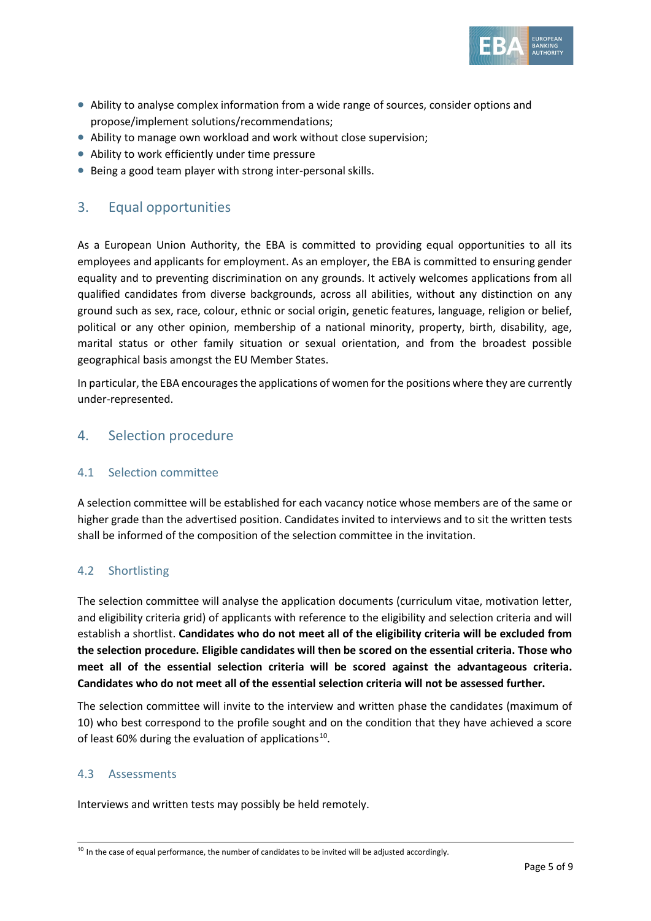

- Ability to analyse complex information from a wide range of sources, consider options and propose/implement solutions/recommendations;
- Ability to manage own workload and work without close supervision;
- Ability to work efficiently under time pressure
- Being a good team player with strong inter-personal skills.

### 3. Equal opportunities

As a European Union Authority, the EBA is committed to providing equal opportunities to all its employees and applicants for employment. As an employer, the EBA is committed to ensuring gender equality and to preventing discrimination on any grounds. It actively welcomes applications from all qualified candidates from diverse backgrounds, across all abilities, without any distinction on any ground such as sex, race, colour, ethnic or social origin, genetic features, language, religion or belief, political or any other opinion, membership of a national minority, property, birth, disability, age, marital status or other family situation or sexual orientation, and from the broadest possible geographical basis amongst the EU Member States.

In particular, the EBA encourages the applications of women for the positions where they are currently under-represented.

### 4. Selection procedure

#### 4.1 Selection committee

A selection committee will be established for each vacancy notice whose members are of the same or higher grade than the advertised position. Candidates invited to interviews and to sit the written tests shall be informed of the composition of the selection committee in the invitation.

#### 4.2 Shortlisting

The selection committee will analyse the application documents (curriculum vitae, motivation letter, and eligibility criteria grid) of applicants with reference to the eligibility and selection criteria and will establish a shortlist. **Candidates who do not meet all of the eligibility criteria will be excluded from the selection procedure. Eligible candidates will then be scored on the essential criteria. Those who meet all of the essential selection criteria will be scored against the advantageous criteria. Candidates who do not meet all of the essential selection criteria will not be assessed further.**

The selection committee will invite to the interview and written phase the candidates (maximum of 10) who best correspond to the profile sought and on the condition that they have achieved a score of least 60% during the evaluation of applications<sup>[10](#page-4-0)</sup>.

#### 4.3 Assessments

Interviews and written tests may possibly be held remotely.

<span id="page-4-0"></span> $10$  In the case of equal performance, the number of candidates to be invited will be adjusted accordingly.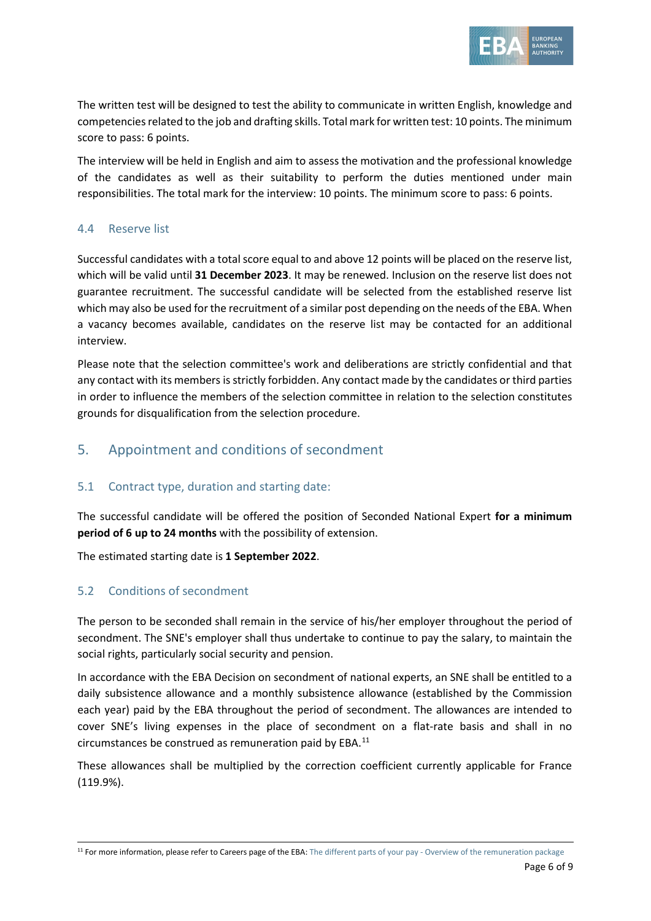

The written test will be designed to test the ability to communicate in written English, knowledge and competencies related to the job and drafting skills. Total mark for written test: 10 points. The minimum score to pass: 6 points.

The interview will be held in English and aim to assess the motivation and the professional knowledge of the candidates as well as their suitability to perform the duties mentioned under main responsibilities. The total mark for the interview: 10 points. The minimum score to pass: 6 points.

### 4.4 Reserve list

Successful candidates with a total score equal to and above 12 points will be placed on the reserve list, which will be valid until **31 December 2023**. It may be renewed. Inclusion on the reserve list does not guarantee recruitment. The successful candidate will be selected from the established reserve list which may also be used for the recruitment of a similar post depending on the needs of the EBA. When a vacancy becomes available, candidates on the reserve list may be contacted for an additional interview.

Please note that the selection committee's work and deliberations are strictly confidential and that any contact with its members is strictly forbidden. Any contact made by the candidates or third parties in order to influence the members of the selection committee in relation to the selection constitutes grounds for disqualification from the selection procedure.

# 5. Appointment and conditions of secondment

### 5.1 Contract type, duration and starting date:

The successful candidate will be offered the position of Seconded National Expert **for a minimum period of 6 up to 24 months** with the possibility of extension.

The estimated starting date is **1 September 2022**.

### 5.2 Conditions of secondment

The person to be seconded shall remain in the service of his/her employer throughout the period of secondment. The SNE's employer shall thus undertake to continue to pay the salary, to maintain the social rights, particularly social security and pension.

In accordance with the EBA Decision on secondment of national experts, an SNE shall be entitled to a daily subsistence allowance and a monthly subsistence allowance (established by the Commission each year) paid by the EBA throughout the period of secondment. The allowances are intended to cover SNE's living expenses in the place of secondment on a flat-rate basis and shall in no circumstances be construed as remuneration paid by EBA. [11](#page-5-0)

These allowances shall be multiplied by the correction coefficient currently applicable for France (119.9%).

<span id="page-5-0"></span><sup>&</sup>lt;sup>11</sup> For more information, please refer to Careers page of the EBA: The different parts of your pay - [Overview of the remuneration package](https://eba.europa.eu/sites/default/documents/files/documents/10180/15751/7afda831-d9f1-4444-a1e9-368835d770f1/The%20different%20parts%20of%20your%20pay%20-%20overview%20of%20the%20remuneration%20package.pdf)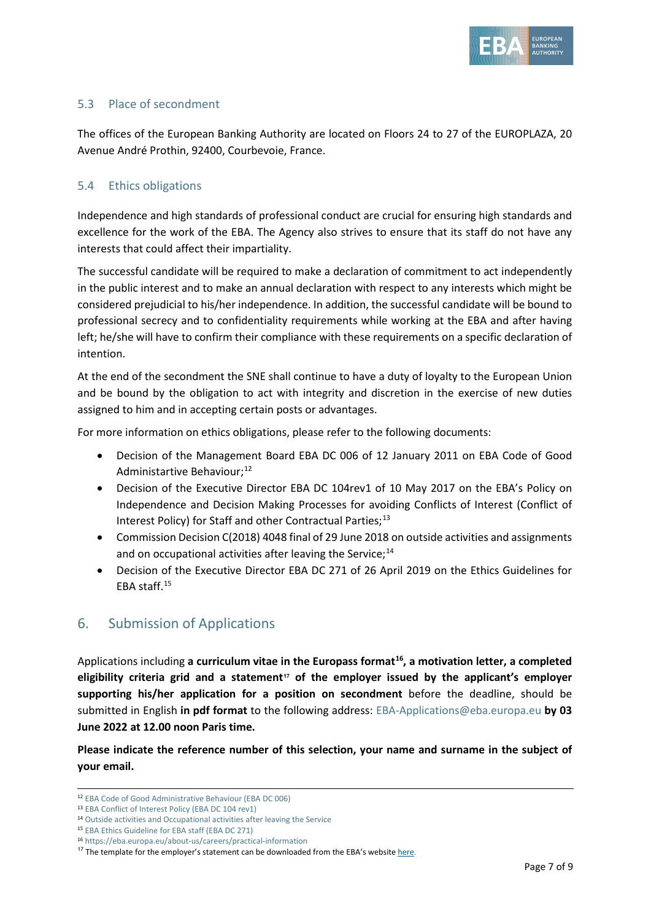

### 5.3 Place of secondment

The offices of the European Banking Authority are located on Floors 24 to 27 of the EUROPLAZA, 20 Avenue André Prothin, 92400, Courbevoie, France.

### 5.4 Ethics obligations

Independence and high standards of professional conduct are crucial for ensuring high standards and excellence for the work of the EBA. The Agency also strives to ensure that its staff do not have any interests that could affect their impartiality.

The successful candidate will be required to make a declaration of commitment to act independently in the public interest and to make an annual declaration with respect to any interests which might be considered prejudicial to his/her independence. In addition, the successful candidate will be bound to professional secrecy and to confidentiality requirements while working at the EBA and after having left; he/she will have to confirm their compliance with these requirements on a specific declaration of intention.

At the end of the secondment the SNE shall continue to have a duty of loyalty to the European Union and be bound by the obligation to act with integrity and discretion in the exercise of new duties assigned to him and in accepting certain posts or advantages.

For more information on ethics obligations, please refer to the following documents:

- Decision of the Management Board EBA DC 006 of 12 January 2011 on EBA Code of Good Administartive Behaviour;<sup>12</sup>
- Decision of the Executive Director EBA DC 104rev1 of 10 May 2017 on the EBA's Policy on Independence and Decision Making Processes for avoiding Conflicts of Interest (Conflict of Interest Policy) for Staff and other Contractual Parties; $^{13}$  $^{13}$  $^{13}$
- Commission Decision C(2018) 4048 final of 29 June 2018 on outside activities and assignments and on occupational activities after leaving the Service; $^{14}$  $^{14}$  $^{14}$
- Decision of the Executive Director EBA DC 271 of 26 April 2019 on the Ethics Guidelines for EBA staff.[15](#page-6-3)

# 6. Submission of Applications

Applications including **a curriculum vitae in the Europass format[16,](#page-6-4) a motivation letter, a completed eligibility criteria grid and a statement[17](#page-6-5) of the employer issued by the applicant's employer supporting his/her application for a position on secondment** before the deadline, should be submitted in English **in pdf format** to the following address: [EBA-Applications@eba.europa.eu](mailto:EBA-Applications@eba.europa.eu) **by 03 June 2022 at 12.00 noon Paris time.**

**Please indicate the reference number of this selection, your name and surname in the subject of your email.**

<span id="page-6-1"></span><span id="page-6-0"></span><sup>12</sup> [EBA Code of Good Administrative Behaviour \(EBA DC 006\)](https://eba.europa.eu/sites/default/documents/files/documents/10180/16082/435054e4-0d54-42cf-ad98-57f87bfb2426/EBA-DC-006-_Code-of-Administrative-Behaviour_---FINAL.pdf)

<sup>13</sup> [EBA Conflict of Interest Policy \(EBA DC 104 rev1\)](https://eba.europa.eu/sites/default/documents/files/document_library/EBA%20DC%20104rev1%20%28CoI%20Policy%20for%20Staff%20and%20Other%20Contractual%20Parties%29_final_0.pdf)

<span id="page-6-2"></span><sup>14</sup> [Outside activities and Occupational activities after leaving the Service](https://eba.europa.eu/sites/default/documents/files/document_library/897086/decision_n182_commission_decision_on_outside_activities_en.pdf)

<span id="page-6-4"></span><span id="page-6-3"></span><sup>15</sup> [EBA Ethics Guideline for EBA staff \(EBA DC 271\)](https://eba.europa.eu/sites/default/documents/files/document_library/EBA%20DC%20271%20%28Decision%20on%20the%20Revised%20Ethics%20Guidelines%20for%20Staff%29.pdf)

<sup>16</sup> <https://eba.europa.eu/about-us/careers/practical-information>

<span id="page-6-5"></span> $17$  The template for the employer's statement can be downloaded from the EBA's website [here.](https://www.eba.europa.eu/about-us/careers/practical-information)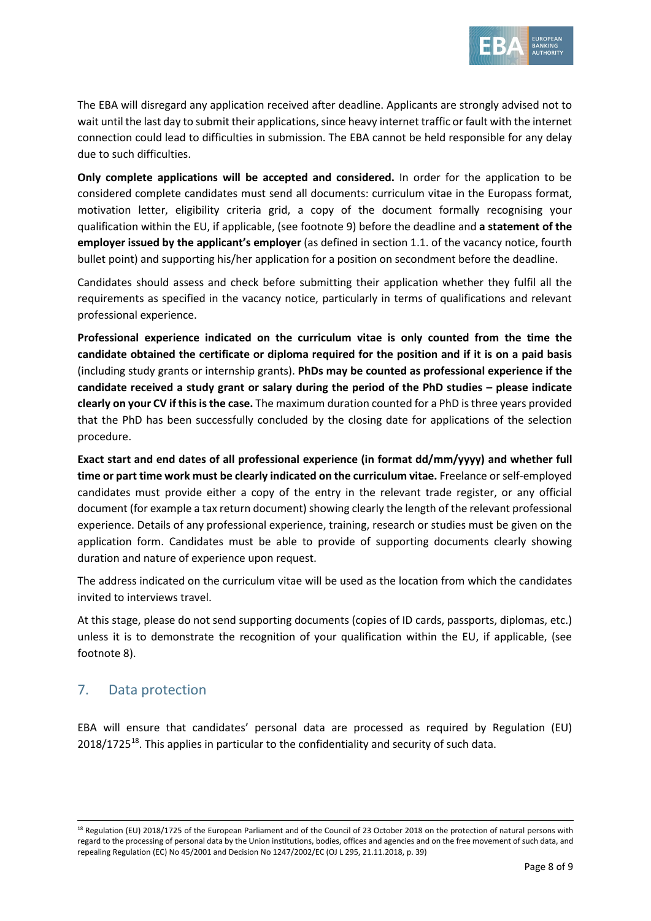

The EBA will disregard any application received after deadline. Applicants are strongly advised not to wait until the last day to submit their applications, since heavy internet traffic or fault with the internet connection could lead to difficulties in submission. The EBA cannot be held responsible for any delay due to such difficulties.

**Only complete applications will be accepted and considered.** In order for the application to be considered complete candidates must send all documents: curriculum vitae in the Europass format, motivation letter, eligibility criteria grid, a copy of the document formally recognising your qualification within the EU, if applicable, (see footnote 9) before the deadline and **a statement of the employer issued by the applicant's employer** (as defined in section 1.1. of the vacancy notice, fourth bullet point) and supporting his/her application for a position on secondment before the deadline.

Candidates should assess and check before submitting their application whether they fulfil all the requirements as specified in the vacancy notice, particularly in terms of qualifications and relevant professional experience.

**Professional experience indicated on the curriculum vitae is only counted from the time the candidate obtained the certificate or diploma required for the position and if it is on a paid basis** (including study grants or internship grants). **PhDs may be counted as professional experience if the candidate received a study grant or salary during the period of the PhD studies – please indicate clearly on your CV if this is the case.** The maximum duration counted for a PhD is three years provided that the PhD has been successfully concluded by the closing date for applications of the selection procedure.

**Exact start and end dates of all professional experience (in format dd/mm/yyyy) and whether full time or part time work must be clearly indicated on the curriculum vitae.** Freelance or self-employed candidates must provide either a copy of the entry in the relevant trade register, or any official document (for example a tax return document) showing clearly the length of the relevant professional experience. Details of any professional experience, training, research or studies must be given on the application form. Candidates must be able to provide of supporting documents clearly showing duration and nature of experience upon request.

The address indicated on the curriculum vitae will be used as the location from which the candidates invited to interviews travel.

At this stage, please do not send supporting documents (copies of ID cards, passports, diplomas, etc.) unless it is to demonstrate the recognition of your qualification within the EU, if applicable, (see footnote 8).

# 7. Data protection

EBA will ensure that candidates' personal data are processed as required by Regulation (EU)  $2018/1725^{18}$  $2018/1725^{18}$  $2018/1725^{18}$ . This applies in particular to the confidentiality and security of such data.

<span id="page-7-0"></span><sup>&</sup>lt;sup>18</sup> Regulation (EU) 2018/1725 of the European Parliament and of the Council of 23 October 2018 on the protection of natural persons with regard to the processing of personal data by the Union institutions, bodies, offices and agencies and on the free movement of such data, and repealing Regulation (EC) No 45/2001 and Decision No 1247/2002/EC (OJ L 295, 21.11.2018, p. 39)